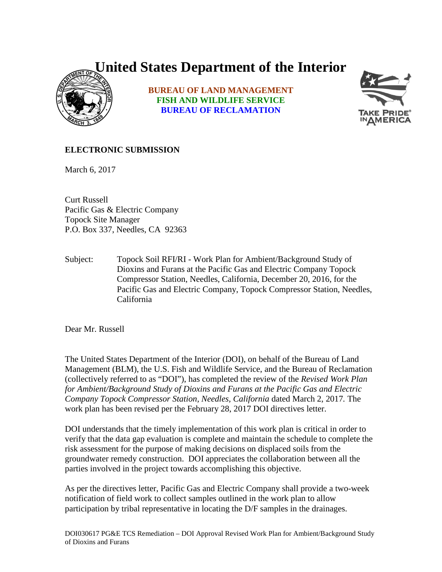## **United States Department of the Interior**



**BUREAU OF LAND MANAGEMENT FISH AND WILDLIFE SERVICE BUREAU OF RECLAMATION**



## **ELECTRONIC SUBMISSION**

March 6, 2017

Curt Russell Pacific Gas & Electric Company Topock Site Manager P.O. Box 337, Needles, CA 92363

Subject: Topock Soil RFI/RI - Work Plan for Ambient/Background Study of Dioxins and Furans at the Pacific Gas and Electric Company Topock Compressor Station, Needles, California, December 20, 2016, for the Pacific Gas and Electric Company, Topock Compressor Station, Needles, California

Dear Mr. Russell

The United States Department of the Interior (DOI), on behalf of the Bureau of Land Management (BLM), the U.S. Fish and Wildlife Service, and the Bureau of Reclamation (collectively referred to as "DOI"), has completed the review of the *Revised Work Plan for Ambient/Background Study of Dioxins and Furans at the Pacific Gas and Electric Company Topock Compressor Station, Needles, California* dated March 2, 2017*.* The work plan has been revised per the February 28, 2017 DOI directives letter.

DOI understands that the timely implementation of this work plan is critical in order to verify that the data gap evaluation is complete and maintain the schedule to complete the risk assessment for the purpose of making decisions on displaced soils from the groundwater remedy construction. DOI appreciates the collaboration between all the parties involved in the project towards accomplishing this objective.

As per the directives letter, Pacific Gas and Electric Company shall provide a two-week notification of field work to collect samples outlined in the work plan to allow participation by tribal representative in locating the D/F samples in the drainages.